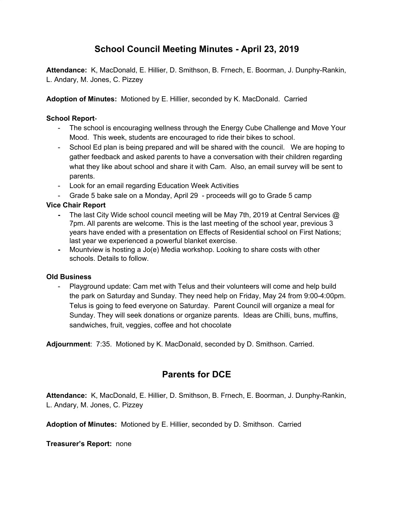# **School Council Meeting Minutes - April 23, 2019**

**Attendance:** K, MacDonald, E. Hillier, D. Smithson, B. Frnech, E. Boorman, J. Dunphy-Rankin, L. Andary, M. Jones, C. Pizzey

**Adoption of Minutes:** Motioned by E. Hillier, seconded by K. MacDonald. Carried

### **School Report**-

- The school is encouraging wellness through the Energy Cube Challenge and Move Your Mood. This week, students are encouraged to ride their bikes to school.
- School Ed plan is being prepared and will be shared with the council. We are hoping to gather feedback and asked parents to have a conversation with their children regarding what they like about school and share it with Cam. Also, an email survey will be sent to parents.
- Look for an email regarding Education Week Activities
- Grade 5 bake sale on a Monday, April 29 proceeds will go to Grade 5 camp

## **Vice Chair Report**

- **-** The last City Wide school council meeting will be May 7th, 2019 at Central Services @ 7pm. All parents are welcome. This is the last meeting of the school year, previous 3 years have ended with a presentation on Effects of Residential school on First Nations; last year we experienced a powerful blanket exercise.
- **-** Mountview is hosting a Jo(e) Media workshop. Looking to share costs with other schools. Details to follow.

#### **Old Business**

Playground update: Cam met with Telus and their volunteers will come and help build the park on Saturday and Sunday. They need help on Friday, May 24 from 9:00-4:00pm. Telus is going to feed everyone on Saturday. Parent Council will organize a meal for Sunday. They will seek donations or organize parents. Ideas are Chilli, buns, muffins, sandwiches, fruit, veggies, coffee and hot chocolate

**Adjournment**: 7:35. Motioned by K. MacDonald, seconded by D. Smithson. Carried.

# **Parents for DCE**

**Attendance:** K, MacDonald, E. Hillier, D. Smithson, B. Frnech, E. Boorman, J. Dunphy-Rankin, L. Andary, M. Jones, C. Pizzey

**Adoption of Minutes:** Motioned by E. Hillier, seconded by D. Smithson. Carried

**Treasurer's Report:** none